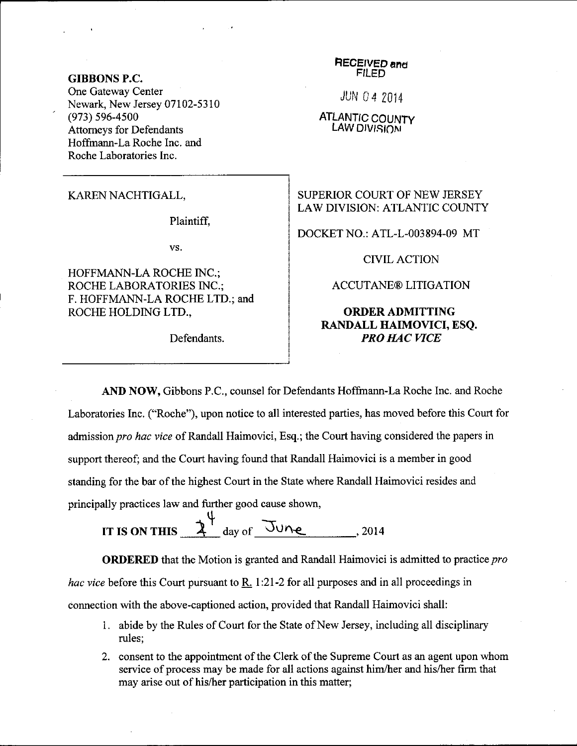#### GIBBONS P.C.

One Gateway Center Newark, New Jersey 07102-5310 (973) s96-4500 Attomeys for Defendants Hoffmann-La Roche Inc. and Roche Laboratories Inc.

KAREN NACHTIGALL,

Plaintiff,

vs.

HOFFMANN.LA ROCHE INC.; ROCHE LABORATORIES INC.; F. HOFFMANN-LA ROCHE LTD.; and ROCHE HOLDING LTD.,

**RECEIVED and** FILED

JUN 04 <sup>2014</sup>

### ATLANTIC COUNTY LAW DIVI,SIONI

# SUPERIOR COURT OF NEW JERSEY LAW DIVISION: ATLANTIC COUNTY

DOCKET NO.: ATL-L-003894-09 MT

CTVIL ACTION

### ACCUTANE@ LITIGATION

## ORDER ADMITTING RANDALL HAIMOVICI, ESQ. Defendants. PRO HAC VICE

AND NOW, Gibbons P.C., counsel for Defendants Hoffmann-La Roche Inc. and Roche Laboratories Inc. ("Roche"), upon notice to all interested parties, has moved before this Court for admission pro hac vice of Randall Haimovici, Esq.; the Court having considered the papers in support thereof; and the Court having found that Randall Haimovici is a member in good standing for the bar of the highest Court in the State where Randall Haimovici resides and principally practices law and further good cause shown,

IT IS ON THIS  $\frac{1}{2}$  day of June ..., 2014

ORDERED that the Motion is granted and Randall Haimovici is admitted to practice pro hac vice before this Court pursuant to R. 1:21-2 for all purposes and in all proceedings in connection with the above-captioned action, provided that Randall Haimovici shall:

- 1. abide by the Rules of Court for the State of New Jersey, including all disciplinary rules;
- 2. consent to the appointment of the Clerk of the Supreme Court as an agent upon whom service of process may be made for all actions against him/her and his/her firm that may arise out of his/her participation in this matter;